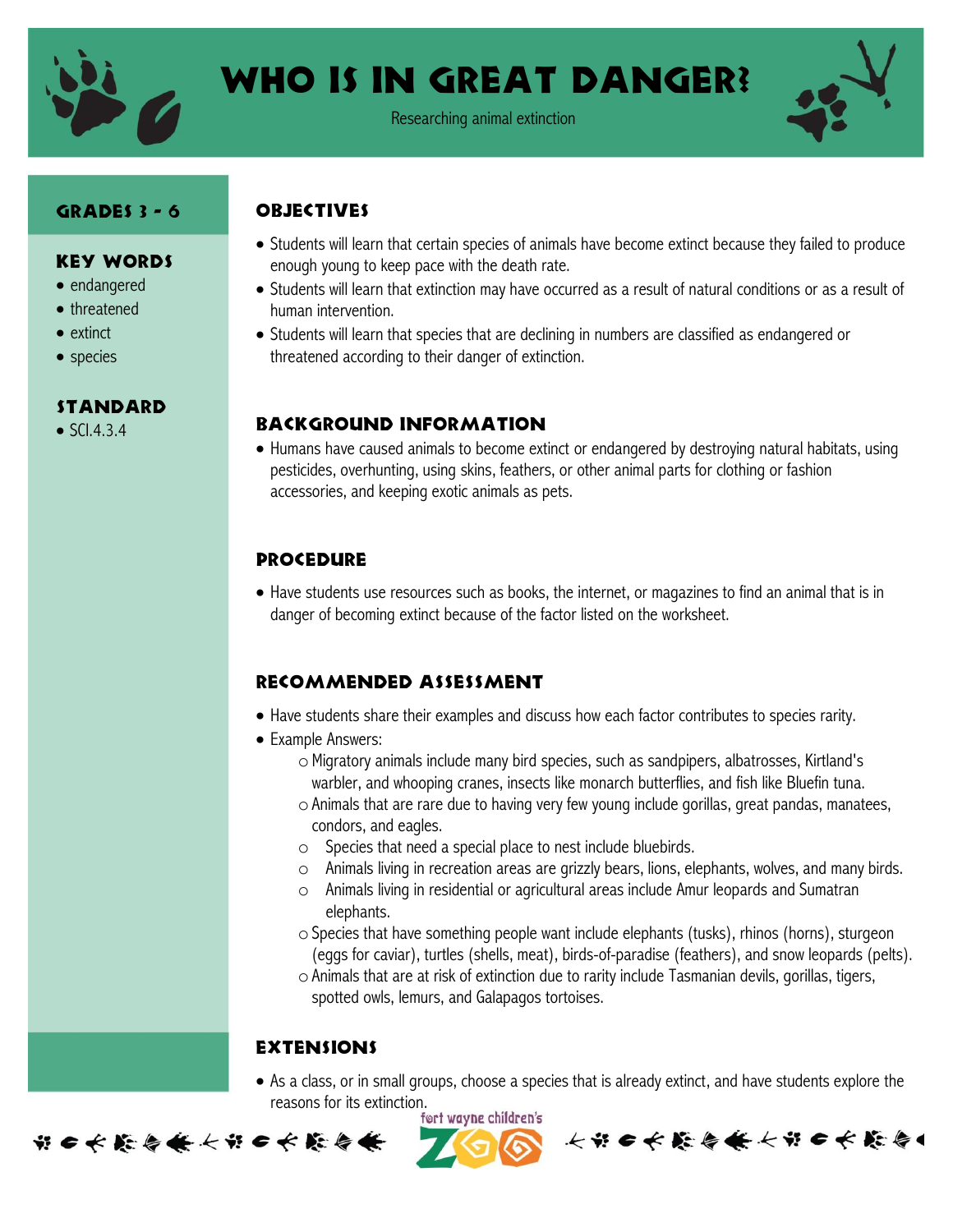

# Who is in Great Danger?

Researching animal extinction



### Grades 3 - 6

#### Key Words

- endangered
- threatened
- extinct
- species

#### **STANDARD**

 $\bullet$  SCI.4.3.4

- Students will learn that certain species of animals have become extinct because they failed to produce enough young to keep pace with the death rate.
- Students will learn that extinction may have occurred as a result of natural conditions or as a result of human intervention.
- Students will learn that species that are declining in numbers are classified as endangered or threatened according to their danger of extinction.

#### Background Information

 Humans have caused animals to become extinct or endangered by destroying natural habitats, using pesticides, overhunting, using skins, feathers, or other animal parts for clothing or fashion accessories, and keeping exotic animals as pets.

# **PROCEDURE**

**ORJECTIVES** 

 Have students use resources such as books, the internet, or magazines to find an animal that is in danger of becoming extinct because of the factor listed on the worksheet.

#### Recommended assessment

- Have students share their examples and discuss how each factor contributes to species rarity.
- Example Answers:
	- oMigratory animals include many bird species, such as sandpipers, albatrosses, Kirtland's warbler, and whooping cranes, insects like monarch butterflies, and fish like Bluefin tuna.
	- oAnimals that are rare due to having very few young include gorillas, great pandas, manatees, condors, and eagles.
	- o Species that need a special place to nest include bluebirds.
	- $\circ$  Animals living in recreation areas are grizzly bears, lions, elephants, wolves, and many birds.
	- o Animals living in residential or agricultural areas include Amur leopards and Sumatran elephants.
	- $\circ$  Species that have something people want include elephants (tusks), rhinos (horns), sturgeon (eggs for caviar), turtles (shells, meat), birds-of-paradise (feathers), and snow leopards (pelts).
	- oAnimals that are at risk of extinction due to rarity include Tasmanian devils, gorillas, tigers, spotted owls, lemurs, and Galapagos tortoises.

# **EXTENSIONS**

 As a class, or in small groups, choose a species that is already extinct, and have students explore the reasons for its extinction.<br>fort wayne children's

长节6长能与长长节6长能与1